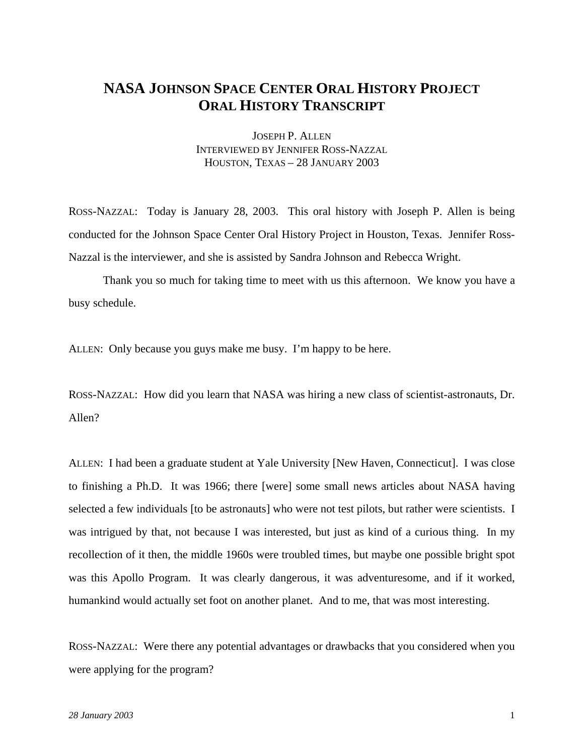## **NASA JOHNSON SPACE CENTER ORAL HISTORY PROJECT ORAL HISTORY TRANSCRIPT**

JOSEPH P. ALLEN INTERVIEWED BY JENNIFER ROSS-NAZZAL HOUSTON, TEXAS – 28 JANUARY 2003

ROSS-NAZZAL: Today is January 28, 2003. This oral history with Joseph P. Allen is being conducted for the Johnson Space Center Oral History Project in Houston, Texas. Jennifer Ross-Nazzal is the interviewer, and she is assisted by Sandra Johnson and Rebecca Wright.

 Thank you so much for taking time to meet with us this afternoon. We know you have a busy schedule.

ALLEN: Only because you guys make me busy. I'm happy to be here.

ROSS-NAZZAL: How did you learn that NASA was hiring a new class of scientist-astronauts, Dr. Allen?

ALLEN: I had been a graduate student at Yale University [New Haven, Connecticut]. I was close to finishing a Ph.D. It was 1966; there [were] some small news articles about NASA having selected a few individuals [to be astronauts] who were not test pilots, but rather were scientists. I was intrigued by that, not because I was interested, but just as kind of a curious thing. In my recollection of it then, the middle 1960s were troubled times, but maybe one possible bright spot was this Apollo Program. It was clearly dangerous, it was adventuresome, and if it worked, humankind would actually set foot on another planet. And to me, that was most interesting.

ROSS-NAZZAL: Were there any potential advantages or drawbacks that you considered when you were applying for the program?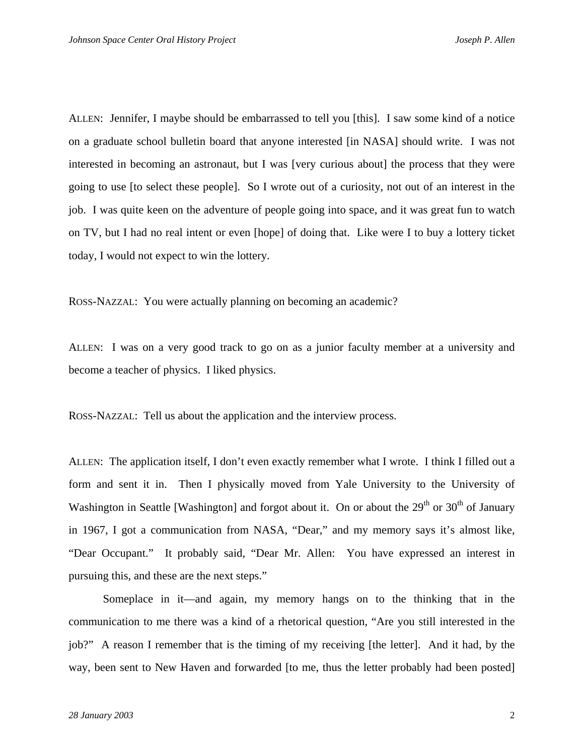ALLEN: Jennifer, I maybe should be embarrassed to tell you [this]. I saw some kind of a notice on a graduate school bulletin board that anyone interested [in NASA] should write. I was not interested in becoming an astronaut, but I was [very curious about] the process that they were going to use [to select these people]. So I wrote out of a curiosity, not out of an interest in the job. I was quite keen on the adventure of people going into space, and it was great fun to watch on TV, but I had no real intent or even [hope] of doing that. Like were I to buy a lottery ticket today, I would not expect to win the lottery.

ROSS-NAZZAL: You were actually planning on becoming an academic?

ALLEN: I was on a very good track to go on as a junior faculty member at a university and become a teacher of physics. I liked physics.

ROSS-NAZZAL: Tell us about the application and the interview process.

ALLEN: The application itself, I don't even exactly remember what I wrote. I think I filled out a form and sent it in. Then I physically moved from Yale University to the University of Washington in Seattle [Washington] and forgot about it. On or about the  $29<sup>th</sup>$  or  $30<sup>th</sup>$  of January in 1967, I got a communication from NASA, "Dear," and my memory says it's almost like, "Dear Occupant." It probably said, "Dear Mr. Allen: You have expressed an interest in pursuing this, and these are the next steps."

 Someplace in it—and again, my memory hangs on to the thinking that in the communication to me there was a kind of a rhetorical question, "Are you still interested in the job?" A reason I remember that is the timing of my receiving [the letter]. And it had, by the way, been sent to New Haven and forwarded [to me, thus the letter probably had been posted]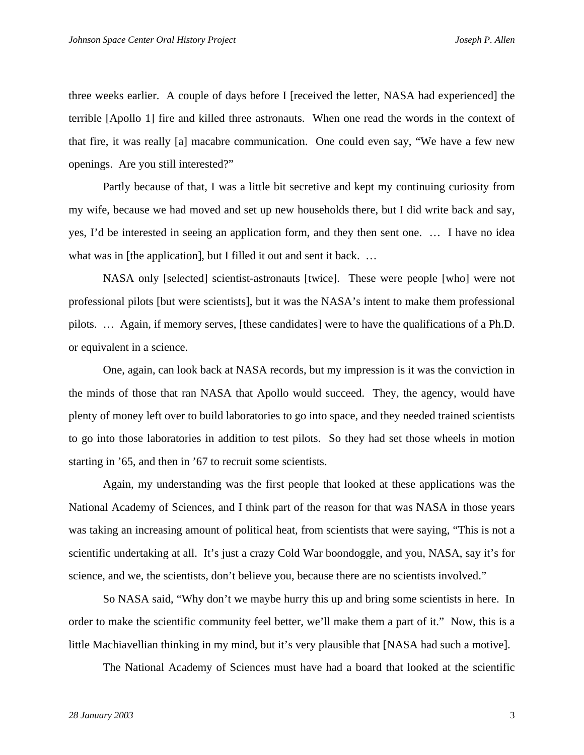three weeks earlier. A couple of days before I [received the letter, NASA had experienced] the terrible [Apollo 1] fire and killed three astronauts. When one read the words in the context of that fire, it was really [a] macabre communication. One could even say, "We have a few new openings. Are you still interested?"

 Partly because of that, I was a little bit secretive and kept my continuing curiosity from my wife, because we had moved and set up new households there, but I did write back and say, yes, I'd be interested in seeing an application form, and they then sent one. … I have no idea what was in [the application], but I filled it out and sent it back. ...

 NASA only [selected] scientist-astronauts [twice]. These were people [who] were not professional pilots [but were scientists], but it was the NASA's intent to make them professional pilots. … Again, if memory serves, [these candidates] were to have the qualifications of a Ph.D. or equivalent in a science.

 One, again, can look back at NASA records, but my impression is it was the conviction in the minds of those that ran NASA that Apollo would succeed. They, the agency, would have plenty of money left over to build laboratories to go into space, and they needed trained scientists to go into those laboratories in addition to test pilots. So they had set those wheels in motion starting in '65, and then in '67 to recruit some scientists.

 Again, my understanding was the first people that looked at these applications was the National Academy of Sciences, and I think part of the reason for that was NASA in those years was taking an increasing amount of political heat, from scientists that were saying, "This is not a scientific undertaking at all. It's just a crazy Cold War boondoggle, and you, NASA, say it's for science, and we, the scientists, don't believe you, because there are no scientists involved."

 So NASA said, "Why don't we maybe hurry this up and bring some scientists in here. In order to make the scientific community feel better, we'll make them a part of it." Now, this is a little Machiavellian thinking in my mind, but it's very plausible that [NASA had such a motive].

The National Academy of Sciences must have had a board that looked at the scientific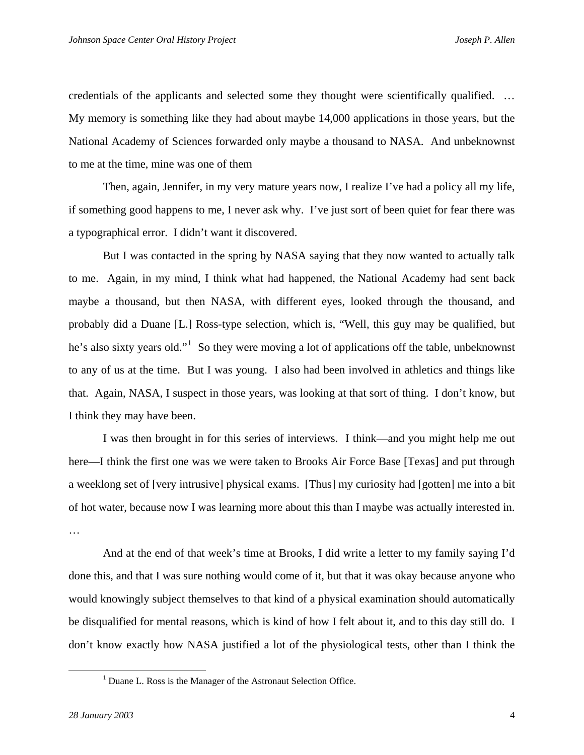credentials of the applicants and selected some they thought were scientifically qualified. … My memory is something like they had about maybe 14,000 applications in those years, but the National Academy of Sciences forwarded only maybe a thousand to NASA. And unbeknownst to me at the time, mine was one of them

 Then, again, Jennifer, in my very mature years now, I realize I've had a policy all my life, if something good happens to me, I never ask why. I've just sort of been quiet for fear there was a typographical error. I didn't want it discovered.

 But I was contacted in the spring by NASA saying that they now wanted to actually talk to me. Again, in my mind, I think what had happened, the National Academy had sent back maybe a thousand, but then NASA, with different eyes, looked through the thousand, and probably did a Duane [L.] Ross-type selection, which is, "Well, this guy may be qualified, but he's also sixty years old."<sup>[1](#page-3-0)</sup> So they were moving a lot of applications off the table, unbeknownst to any of us at the time. But I was young. I also had been involved in athletics and things like that. Again, NASA, I suspect in those years, was looking at that sort of thing. I don't know, but I think they may have been.

 I was then brought in for this series of interviews. I think—and you might help me out here—I think the first one was we were taken to Brooks Air Force Base [Texas] and put through a weeklong set of [very intrusive] physical exams. [Thus] my curiosity had [gotten] me into a bit of hot water, because now I was learning more about this than I maybe was actually interested in. …

 And at the end of that week's time at Brooks, I did write a letter to my family saying I'd done this, and that I was sure nothing would come of it, but that it was okay because anyone who would knowingly subject themselves to that kind of a physical examination should automatically be disqualified for mental reasons, which is kind of how I felt about it, and to this day still do. I don't know exactly how NASA justified a lot of the physiological tests, other than I think the

<span id="page-3-0"></span><sup>&</sup>lt;u>1</u> <sup>1</sup> Duane L. Ross is the Manager of the Astronaut Selection Office.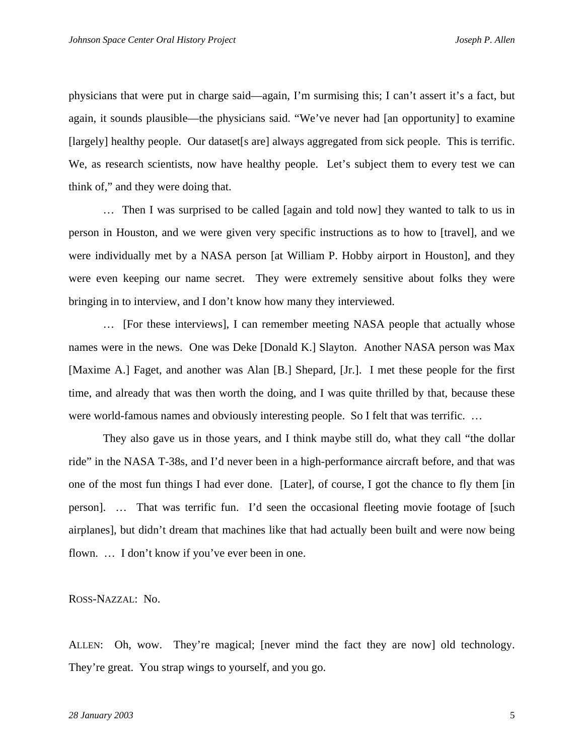physicians that were put in charge said—again, I'm surmising this; I can't assert it's a fact, but again, it sounds plausible—the physicians said. "We've never had [an opportunity] to examine [largely] healthy people. Our dataset [s are] always aggregated from sick people. This is terrific. We, as research scientists, now have healthy people. Let's subject them to every test we can think of," and they were doing that.

 … Then I was surprised to be called [again and told now] they wanted to talk to us in person in Houston, and we were given very specific instructions as to how to [travel], and we were individually met by a NASA person [at William P. Hobby airport in Houston], and they were even keeping our name secret. They were extremely sensitive about folks they were bringing in to interview, and I don't know how many they interviewed.

 … [For these interviews], I can remember meeting NASA people that actually whose names were in the news. One was Deke [Donald K.] Slayton. Another NASA person was Max [Maxime A.] Faget, and another was Alan [B.] Shepard, [Jr.]. I met these people for the first time, and already that was then worth the doing, and I was quite thrilled by that, because these were world-famous names and obviously interesting people. So I felt that was terrific. …

 They also gave us in those years, and I think maybe still do, what they call "the dollar ride" in the NASA T-38s, and I'd never been in a high-performance aircraft before, and that was one of the most fun things I had ever done. [Later], of course, I got the chance to fly them [in person]. … That was terrific fun. I'd seen the occasional fleeting movie footage of [such airplanes], but didn't dream that machines like that had actually been built and were now being flown. … I don't know if you've ever been in one.

ROSS-NAZZAL: No.

ALLEN: Oh, wow. They're magical; [never mind the fact they are now] old technology. They're great. You strap wings to yourself, and you go.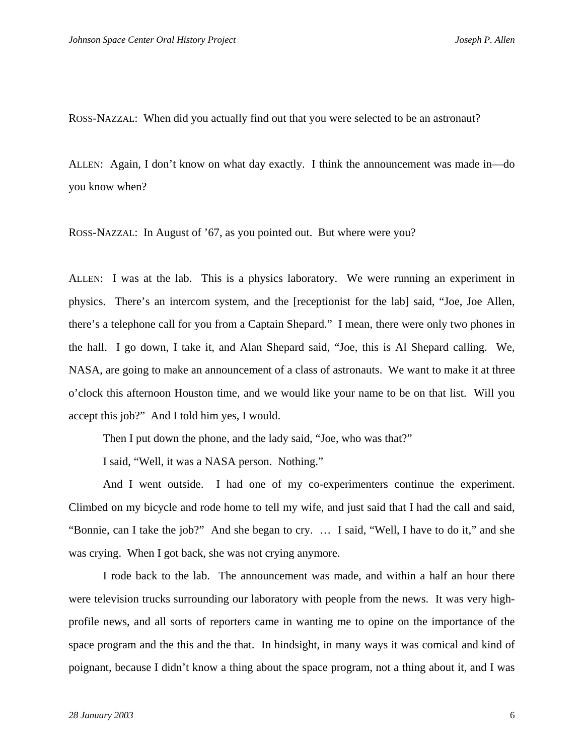ROSS-NAZZAL: When did you actually find out that you were selected to be an astronaut?

ALLEN: Again, I don't know on what day exactly. I think the announcement was made in—do you know when?

ROSS-NAZZAL: In August of '67, as you pointed out. But where were you?

ALLEN: I was at the lab. This is a physics laboratory. We were running an experiment in physics. There's an intercom system, and the [receptionist for the lab] said, "Joe, Joe Allen, there's a telephone call for you from a Captain Shepard." I mean, there were only two phones in the hall. I go down, I take it, and Alan Shepard said, "Joe, this is Al Shepard calling. We, NASA, are going to make an announcement of a class of astronauts. We want to make it at three o'clock this afternoon Houston time, and we would like your name to be on that list. Will you accept this job?" And I told him yes, I would.

Then I put down the phone, and the lady said, "Joe, who was that?"

I said, "Well, it was a NASA person. Nothing."

 And I went outside. I had one of my co-experimenters continue the experiment. Climbed on my bicycle and rode home to tell my wife, and just said that I had the call and said, "Bonnie, can I take the job?" And she began to cry. … I said, "Well, I have to do it," and she was crying. When I got back, she was not crying anymore.

 I rode back to the lab. The announcement was made, and within a half an hour there were television trucks surrounding our laboratory with people from the news. It was very highprofile news, and all sorts of reporters came in wanting me to opine on the importance of the space program and the this and the that. In hindsight, in many ways it was comical and kind of poignant, because I didn't know a thing about the space program, not a thing about it, and I was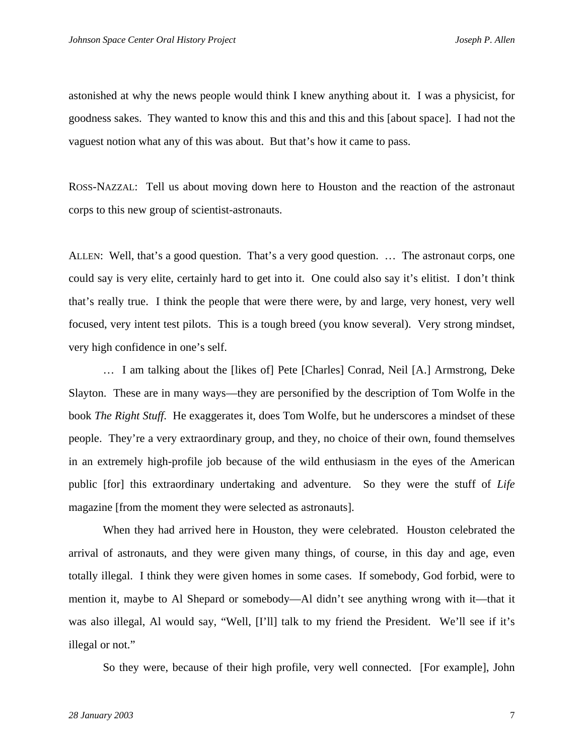astonished at why the news people would think I knew anything about it. I was a physicist, for goodness sakes. They wanted to know this and this and this and this [about space]. I had not the vaguest notion what any of this was about. But that's how it came to pass.

ROSS-NAZZAL: Tell us about moving down here to Houston and the reaction of the astronaut corps to this new group of scientist-astronauts.

ALLEN: Well, that's a good question. That's a very good question. … The astronaut corps, one could say is very elite, certainly hard to get into it. One could also say it's elitist. I don't think that's really true. I think the people that were there were, by and large, very honest, very well focused, very intent test pilots. This is a tough breed (you know several). Very strong mindset, very high confidence in one's self.

 … I am talking about the [likes of] Pete [Charles] Conrad, Neil [A.] Armstrong, Deke Slayton. These are in many ways—they are personified by the description of Tom Wolfe in the book *The Right Stuff*. He exaggerates it, does Tom Wolfe, but he underscores a mindset of these people. They're a very extraordinary group, and they, no choice of their own, found themselves in an extremely high-profile job because of the wild enthusiasm in the eyes of the American public [for] this extraordinary undertaking and adventure. So they were the stuff of *Life* magazine [from the moment they were selected as astronauts].

 When they had arrived here in Houston, they were celebrated. Houston celebrated the arrival of astronauts, and they were given many things, of course, in this day and age, even totally illegal. I think they were given homes in some cases. If somebody, God forbid, were to mention it, maybe to Al Shepard or somebody—Al didn't see anything wrong with it—that it was also illegal, Al would say, "Well, [I'll] talk to my friend the President. We'll see if it's illegal or not."

So they were, because of their high profile, very well connected. [For example], John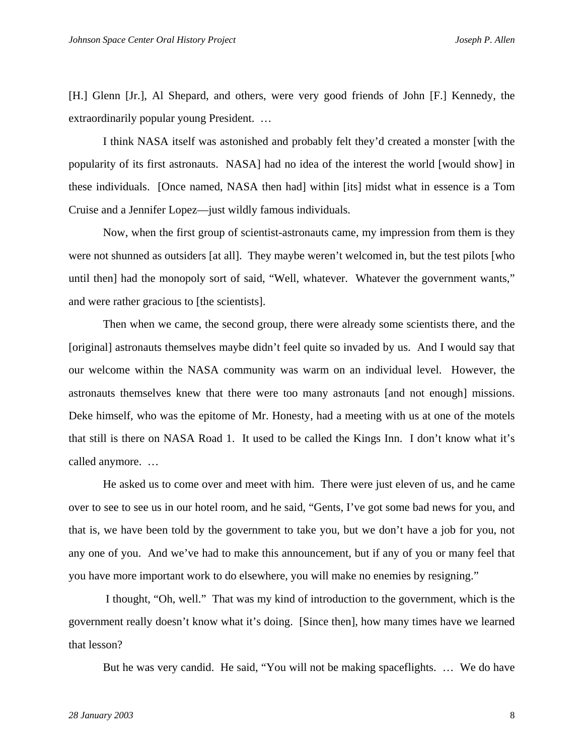[H.] Glenn [Jr.], Al Shepard, and others, were very good friends of John [F.] Kennedy, the extraordinarily popular young President. …

 I think NASA itself was astonished and probably felt they'd created a monster [with the popularity of its first astronauts. NASA] had no idea of the interest the world [would show] in these individuals. [Once named, NASA then had] within [its] midst what in essence is a Tom Cruise and a Jennifer Lopez—just wildly famous individuals.

 Now, when the first group of scientist-astronauts came, my impression from them is they were not shunned as outsiders [at all]. They maybe weren't welcomed in, but the test pilots [who until then] had the monopoly sort of said, "Well, whatever. Whatever the government wants," and were rather gracious to [the scientists].

 Then when we came, the second group, there were already some scientists there, and the [original] astronauts themselves maybe didn't feel quite so invaded by us. And I would say that our welcome within the NASA community was warm on an individual level. However, the astronauts themselves knew that there were too many astronauts [and not enough] missions. Deke himself, who was the epitome of Mr. Honesty, had a meeting with us at one of the motels that still is there on NASA Road 1. It used to be called the Kings Inn. I don't know what it's called anymore. …

 He asked us to come over and meet with him. There were just eleven of us, and he came over to see to see us in our hotel room, and he said, "Gents, I've got some bad news for you, and that is, we have been told by the government to take you, but we don't have a job for you, not any one of you. And we've had to make this announcement, but if any of you or many feel that you have more important work to do elsewhere, you will make no enemies by resigning."

 I thought, "Oh, well." That was my kind of introduction to the government, which is the government really doesn't know what it's doing. [Since then], how many times have we learned that lesson?

But he was very candid. He said, "You will not be making spaceflights. … We do have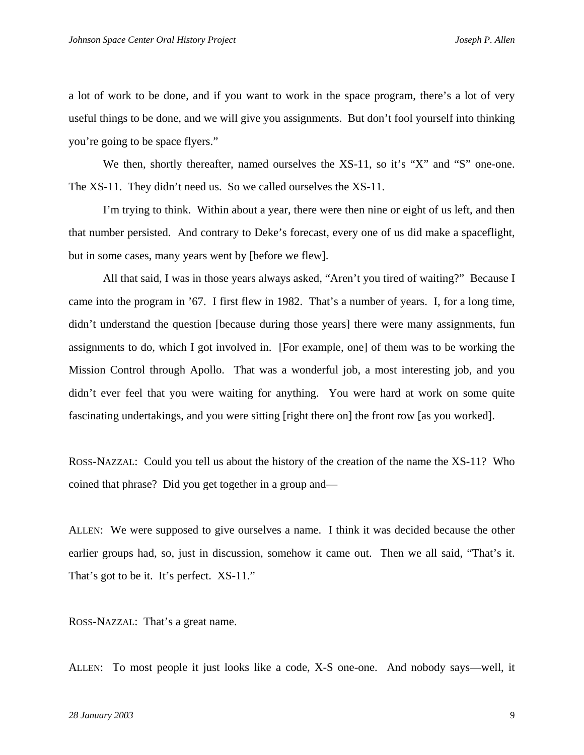a lot of work to be done, and if you want to work in the space program, there's a lot of very useful things to be done, and we will give you assignments. But don't fool yourself into thinking you're going to be space flyers."

We then, shortly thereafter, named ourselves the XS-11, so it's "X" and "S" one-one. The XS-11. They didn't need us. So we called ourselves the XS-11.

 I'm trying to think. Within about a year, there were then nine or eight of us left, and then that number persisted. And contrary to Deke's forecast, every one of us did make a spaceflight, but in some cases, many years went by [before we flew].

 All that said, I was in those years always asked, "Aren't you tired of waiting?" Because I came into the program in '67. I first flew in 1982. That's a number of years. I, for a long time, didn't understand the question [because during those years] there were many assignments, fun assignments to do, which I got involved in. [For example, one] of them was to be working the Mission Control through Apollo. That was a wonderful job, a most interesting job, and you didn't ever feel that you were waiting for anything. You were hard at work on some quite fascinating undertakings, and you were sitting [right there on] the front row [as you worked].

ROSS-NAZZAL: Could you tell us about the history of the creation of the name the XS-11? Who coined that phrase? Did you get together in a group and—

ALLEN: We were supposed to give ourselves a name. I think it was decided because the other earlier groups had, so, just in discussion, somehow it came out. Then we all said, "That's it. That's got to be it. It's perfect. XS-11."

ROSS-NAZZAL: That's a great name.

ALLEN: To most people it just looks like a code, X-S one-one. And nobody says—well, it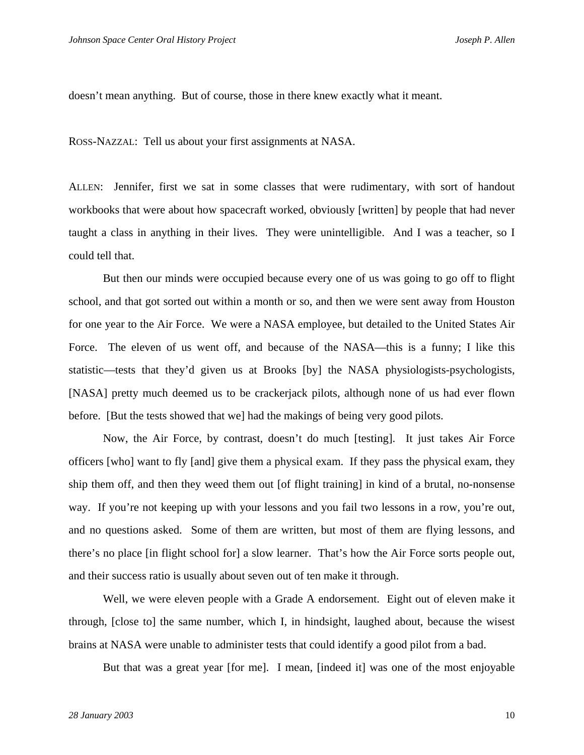doesn't mean anything. But of course, those in there knew exactly what it meant.

ROSS-NAZZAL: Tell us about your first assignments at NASA.

ALLEN: Jennifer, first we sat in some classes that were rudimentary, with sort of handout workbooks that were about how spacecraft worked, obviously [written] by people that had never taught a class in anything in their lives. They were unintelligible. And I was a teacher, so I could tell that.

 But then our minds were occupied because every one of us was going to go off to flight school, and that got sorted out within a month or so, and then we were sent away from Houston for one year to the Air Force. We were a NASA employee, but detailed to the United States Air Force. The eleven of us went off, and because of the NASA—this is a funny; I like this statistic—tests that they'd given us at Brooks [by] the NASA physiologists-psychologists, [NASA] pretty much deemed us to be crackerjack pilots, although none of us had ever flown before. [But the tests showed that we] had the makings of being very good pilots.

 Now, the Air Force, by contrast, doesn't do much [testing]. It just takes Air Force officers [who] want to fly [and] give them a physical exam. If they pass the physical exam, they ship them off, and then they weed them out [of flight training] in kind of a brutal, no-nonsense way. If you're not keeping up with your lessons and you fail two lessons in a row, you're out, and no questions asked. Some of them are written, but most of them are flying lessons, and there's no place [in flight school for] a slow learner. That's how the Air Force sorts people out, and their success ratio is usually about seven out of ten make it through.

 Well, we were eleven people with a Grade A endorsement. Eight out of eleven make it through, [close to] the same number, which I, in hindsight, laughed about, because the wisest brains at NASA were unable to administer tests that could identify a good pilot from a bad.

But that was a great year [for me]. I mean, [indeed it] was one of the most enjoyable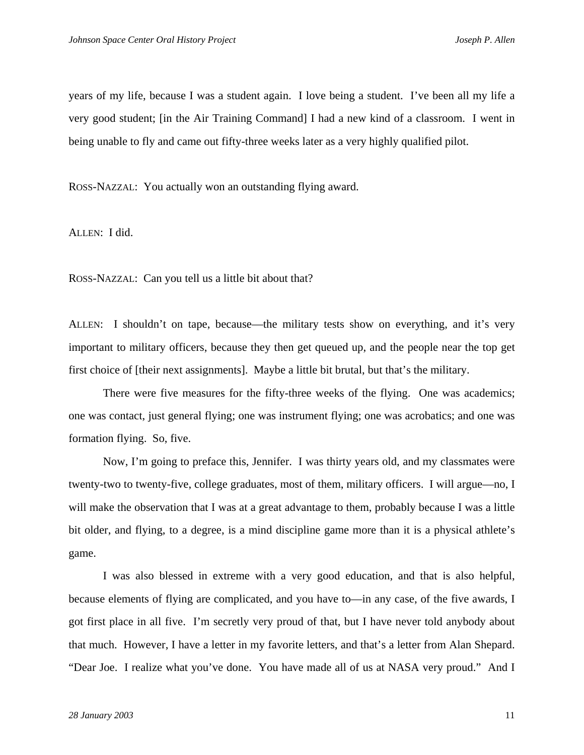years of my life, because I was a student again. I love being a student. I've been all my life a very good student; [in the Air Training Command] I had a new kind of a classroom. I went in being unable to fly and came out fifty-three weeks later as a very highly qualified pilot.

ROSS-NAZZAL: You actually won an outstanding flying award.

ALLEN: I did.

ROSS-NAZZAL: Can you tell us a little bit about that?

ALLEN: I shouldn't on tape, because—the military tests show on everything, and it's very important to military officers, because they then get queued up, and the people near the top get first choice of [their next assignments]. Maybe a little bit brutal, but that's the military.

 There were five measures for the fifty-three weeks of the flying. One was academics; one was contact, just general flying; one was instrument flying; one was acrobatics; and one was formation flying. So, five.

 Now, I'm going to preface this, Jennifer. I was thirty years old, and my classmates were twenty-two to twenty-five, college graduates, most of them, military officers. I will argue—no, I will make the observation that I was at a great advantage to them, probably because I was a little bit older, and flying, to a degree, is a mind discipline game more than it is a physical athlete's game.

 I was also blessed in extreme with a very good education, and that is also helpful, because elements of flying are complicated, and you have to—in any case, of the five awards, I got first place in all five. I'm secretly very proud of that, but I have never told anybody about that much. However, I have a letter in my favorite letters, and that's a letter from Alan Shepard. "Dear Joe. I realize what you've done. You have made all of us at NASA very proud." And I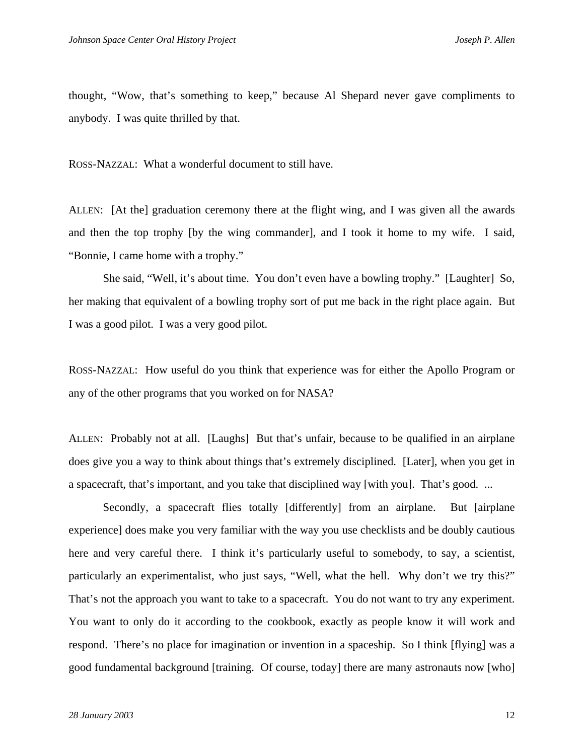thought, "Wow, that's something to keep," because Al Shepard never gave compliments to anybody. I was quite thrilled by that.

ROSS-NAZZAL: What a wonderful document to still have.

ALLEN: [At the] graduation ceremony there at the flight wing, and I was given all the awards and then the top trophy [by the wing commander], and I took it home to my wife. I said, "Bonnie, I came home with a trophy."

 She said, "Well, it's about time. You don't even have a bowling trophy." [Laughter] So, her making that equivalent of a bowling trophy sort of put me back in the right place again. But I was a good pilot. I was a very good pilot.

ROSS-NAZZAL: How useful do you think that experience was for either the Apollo Program or any of the other programs that you worked on for NASA?

ALLEN: Probably not at all. [Laughs] But that's unfair, because to be qualified in an airplane does give you a way to think about things that's extremely disciplined. [Later], when you get in a spacecraft, that's important, and you take that disciplined way [with you]. That's good. ...

 Secondly, a spacecraft flies totally [differently] from an airplane. But [airplane experience] does make you very familiar with the way you use checklists and be doubly cautious here and very careful there. I think it's particularly useful to somebody, to say, a scientist, particularly an experimentalist, who just says, "Well, what the hell. Why don't we try this?" That's not the approach you want to take to a spacecraft. You do not want to try any experiment. You want to only do it according to the cookbook, exactly as people know it will work and respond. There's no place for imagination or invention in a spaceship. So I think [flying] was a good fundamental background [training. Of course, today] there are many astronauts now [who]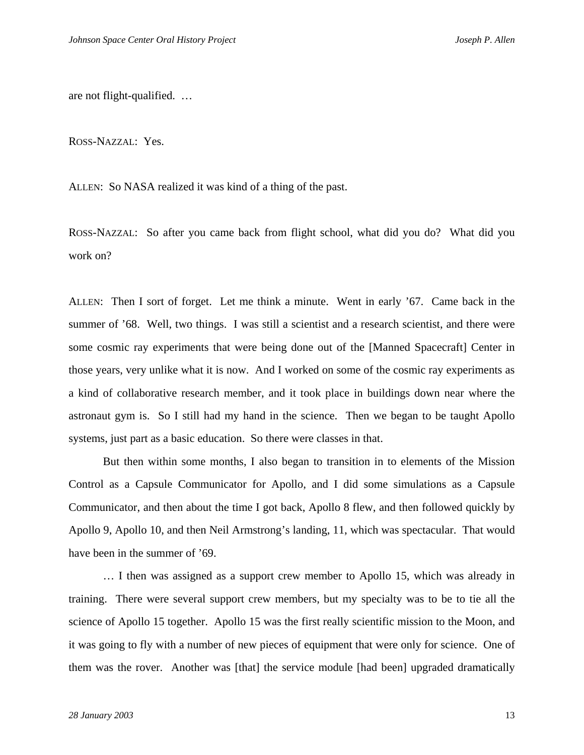are not flight-qualified. …

ROSS-NAZZAL: Yes.

ALLEN: So NASA realized it was kind of a thing of the past.

ROSS-NAZZAL: So after you came back from flight school, what did you do? What did you work on?

ALLEN: Then I sort of forget. Let me think a minute. Went in early '67. Came back in the summer of '68. Well, two things. I was still a scientist and a research scientist, and there were some cosmic ray experiments that were being done out of the [Manned Spacecraft] Center in those years, very unlike what it is now. And I worked on some of the cosmic ray experiments as a kind of collaborative research member, and it took place in buildings down near where the astronaut gym is. So I still had my hand in the science. Then we began to be taught Apollo systems, just part as a basic education. So there were classes in that.

 But then within some months, I also began to transition in to elements of the Mission Control as a Capsule Communicator for Apollo, and I did some simulations as a Capsule Communicator, and then about the time I got back, Apollo 8 flew, and then followed quickly by Apollo 9, Apollo 10, and then Neil Armstrong's landing, 11, which was spectacular. That would have been in the summer of '69.

 … I then was assigned as a support crew member to Apollo 15, which was already in training. There were several support crew members, but my specialty was to be to tie all the science of Apollo 15 together. Apollo 15 was the first really scientific mission to the Moon, and it was going to fly with a number of new pieces of equipment that were only for science. One of them was the rover. Another was [that] the service module [had been] upgraded dramatically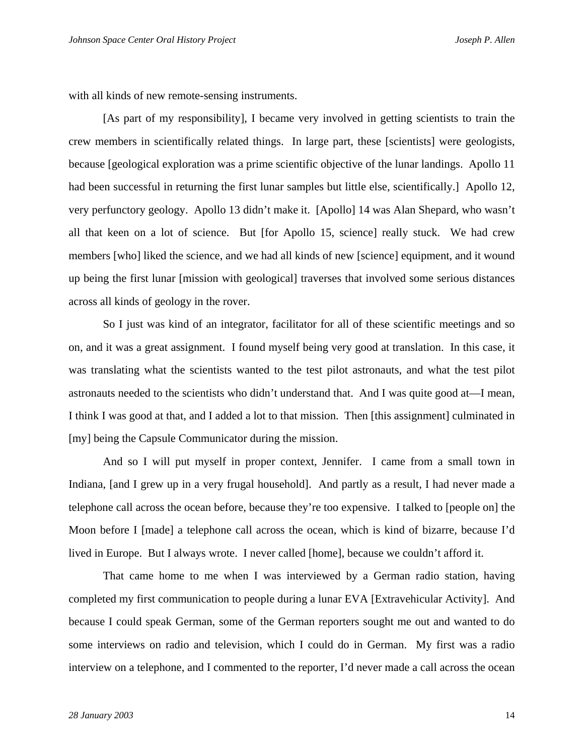with all kinds of new remote-sensing instruments.

 [As part of my responsibility], I became very involved in getting scientists to train the crew members in scientifically related things. In large part, these [scientists] were geologists, because [geological exploration was a prime scientific objective of the lunar landings. Apollo 11 had been successful in returning the first lunar samples but little else, scientifically.] Apollo 12, very perfunctory geology. Apollo 13 didn't make it. [Apollo] 14 was Alan Shepard, who wasn't all that keen on a lot of science. But [for Apollo 15, science] really stuck. We had crew members [who] liked the science, and we had all kinds of new [science] equipment, and it wound up being the first lunar [mission with geological] traverses that involved some serious distances across all kinds of geology in the rover.

 So I just was kind of an integrator, facilitator for all of these scientific meetings and so on, and it was a great assignment. I found myself being very good at translation. In this case, it was translating what the scientists wanted to the test pilot astronauts, and what the test pilot astronauts needed to the scientists who didn't understand that. And I was quite good at—I mean, I think I was good at that, and I added a lot to that mission. Then [this assignment] culminated in [my] being the Capsule Communicator during the mission.

 And so I will put myself in proper context, Jennifer. I came from a small town in Indiana, [and I grew up in a very frugal household]. And partly as a result, I had never made a telephone call across the ocean before, because they're too expensive. I talked to [people on] the Moon before I [made] a telephone call across the ocean, which is kind of bizarre, because I'd lived in Europe. But I always wrote. I never called [home], because we couldn't afford it.

 That came home to me when I was interviewed by a German radio station, having completed my first communication to people during a lunar EVA [Extravehicular Activity]. And because I could speak German, some of the German reporters sought me out and wanted to do some interviews on radio and television, which I could do in German. My first was a radio interview on a telephone, and I commented to the reporter, I'd never made a call across the ocean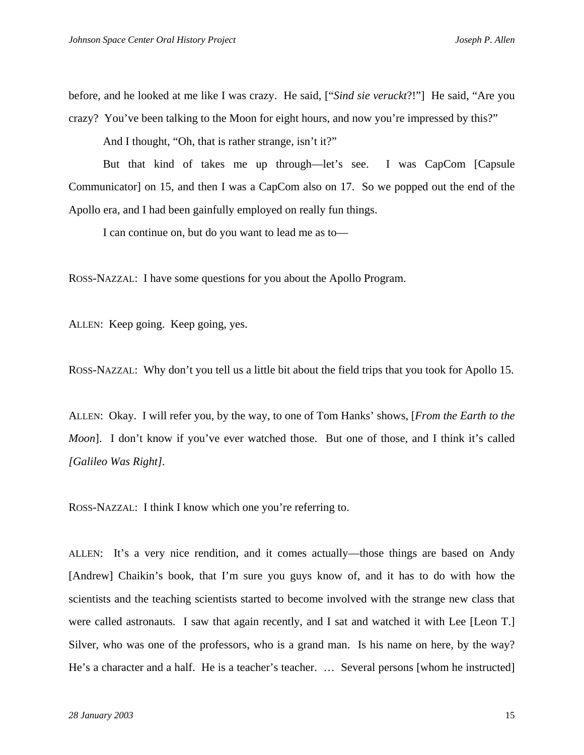before, and he looked at me like I was crazy. He said, ["*Sind sie veruckt*?!"] He said, "Are you crazy? You've been talking to the Moon for eight hours, and now you're impressed by this?"

And I thought, "Oh, that is rather strange, isn't it?"

 But that kind of takes me up through—let's see. I was CapCom [Capsule Communicator] on 15, and then I was a CapCom also on 17. So we popped out the end of the Apollo era, and I had been gainfully employed on really fun things.

I can continue on, but do you want to lead me as to—

ROSS-NAZZAL: I have some questions for you about the Apollo Program.

ALLEN: Keep going. Keep going, yes.

ROSS-NAZZAL: Why don't you tell us a little bit about the field trips that you took for Apollo 15.

ALLEN: Okay. I will refer you, by the way, to one of Tom Hanks' shows, [*From the Earth to the Moon*]. I don't know if you've ever watched those. But one of those, and I think it's called *[Galileo Was Right].*

ROSS-NAZZAL: I think I know which one you're referring to.

ALLEN: It's a very nice rendition, and it comes actually—those things are based on Andy [Andrew] Chaikin's book, that I'm sure you guys know of, and it has to do with how the scientists and the teaching scientists started to become involved with the strange new class that were called astronauts. I saw that again recently, and I sat and watched it with Lee [Leon T.] Silver, who was one of the professors, who is a grand man. Is his name on here, by the way? He's a character and a half. He is a teacher's teacher. … Several persons [whom he instructed]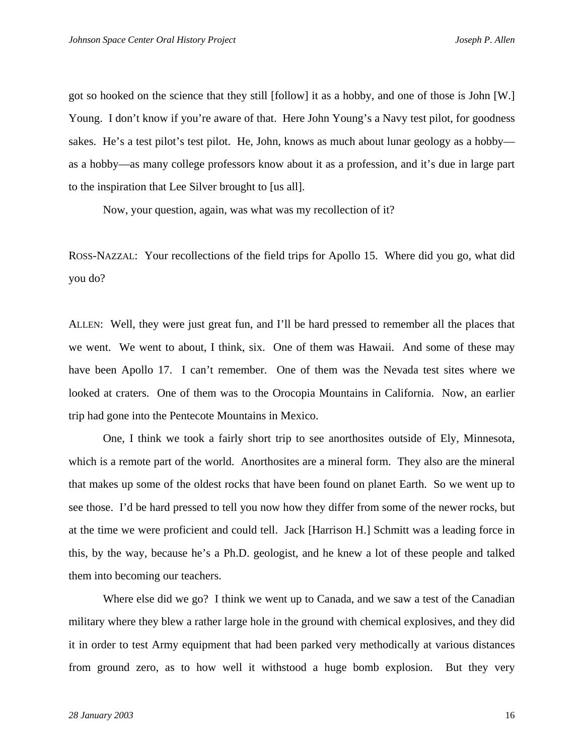got so hooked on the science that they still [follow] it as a hobby, and one of those is John [W.] Young. I don't know if you're aware of that. Here John Young's a Navy test pilot, for goodness sakes. He's a test pilot's test pilot. He, John, knows as much about lunar geology as a hobby as a hobby—as many college professors know about it as a profession, and it's due in large part to the inspiration that Lee Silver brought to [us all].

Now, your question, again, was what was my recollection of it?

ROSS-NAZZAL: Your recollections of the field trips for Apollo 15. Where did you go, what did you do?

ALLEN: Well, they were just great fun, and I'll be hard pressed to remember all the places that we went. We went to about, I think, six. One of them was Hawaii. And some of these may have been Apollo 17. I can't remember. One of them was the Nevada test sites where we looked at craters. One of them was to the Orocopia Mountains in California. Now, an earlier trip had gone into the Pentecote Mountains in Mexico.

 One, I think we took a fairly short trip to see anorthosites outside of Ely, Minnesota, which is a remote part of the world. Anorthosites are a mineral form. They also are the mineral that makes up some of the oldest rocks that have been found on planet Earth. So we went up to see those. I'd be hard pressed to tell you now how they differ from some of the newer rocks, but at the time we were proficient and could tell. Jack [Harrison H.] Schmitt was a leading force in this, by the way, because he's a Ph.D. geologist, and he knew a lot of these people and talked them into becoming our teachers.

 Where else did we go? I think we went up to Canada, and we saw a test of the Canadian military where they blew a rather large hole in the ground with chemical explosives, and they did it in order to test Army equipment that had been parked very methodically at various distances from ground zero, as to how well it withstood a huge bomb explosion. But they very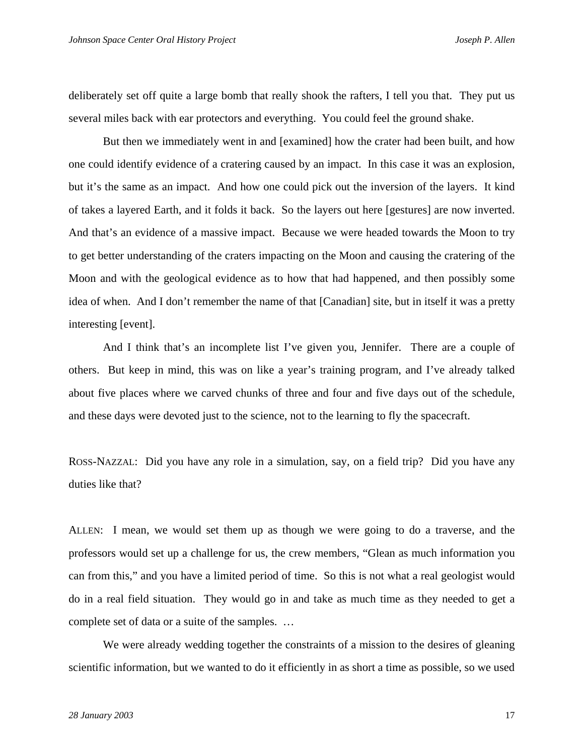deliberately set off quite a large bomb that really shook the rafters, I tell you that. They put us several miles back with ear protectors and everything. You could feel the ground shake.

 But then we immediately went in and [examined] how the crater had been built, and how one could identify evidence of a cratering caused by an impact. In this case it was an explosion, but it's the same as an impact. And how one could pick out the inversion of the layers. It kind of takes a layered Earth, and it folds it back. So the layers out here [gestures] are now inverted. And that's an evidence of a massive impact. Because we were headed towards the Moon to try to get better understanding of the craters impacting on the Moon and causing the cratering of the Moon and with the geological evidence as to how that had happened, and then possibly some idea of when. And I don't remember the name of that [Canadian] site, but in itself it was a pretty interesting [event].

 And I think that's an incomplete list I've given you, Jennifer. There are a couple of others. But keep in mind, this was on like a year's training program, and I've already talked about five places where we carved chunks of three and four and five days out of the schedule, and these days were devoted just to the science, not to the learning to fly the spacecraft.

ROSS-NAZZAL: Did you have any role in a simulation, say, on a field trip? Did you have any duties like that?

ALLEN: I mean, we would set them up as though we were going to do a traverse, and the professors would set up a challenge for us, the crew members, "Glean as much information you can from this," and you have a limited period of time. So this is not what a real geologist would do in a real field situation. They would go in and take as much time as they needed to get a complete set of data or a suite of the samples. …

 We were already wedding together the constraints of a mission to the desires of gleaning scientific information, but we wanted to do it efficiently in as short a time as possible, so we used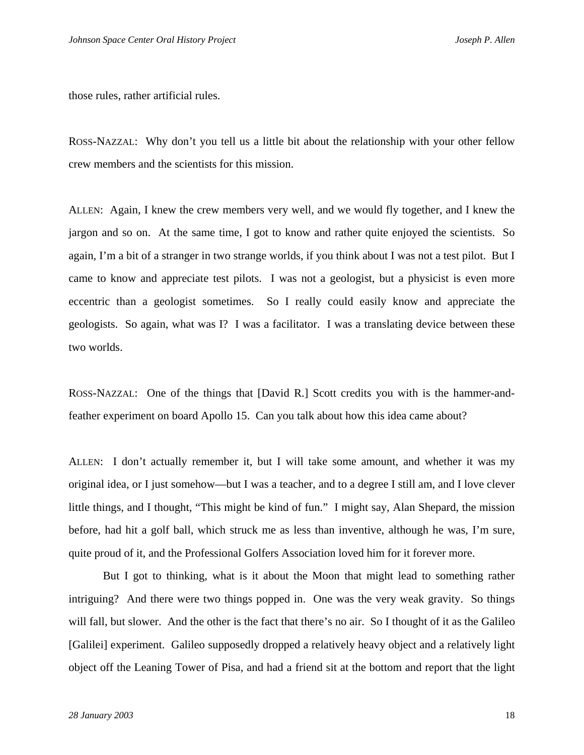those rules, rather artificial rules.

ROSS-NAZZAL: Why don't you tell us a little bit about the relationship with your other fellow crew members and the scientists for this mission.

ALLEN: Again, I knew the crew members very well, and we would fly together, and I knew the jargon and so on. At the same time, I got to know and rather quite enjoyed the scientists. So again, I'm a bit of a stranger in two strange worlds, if you think about I was not a test pilot. But I came to know and appreciate test pilots. I was not a geologist, but a physicist is even more eccentric than a geologist sometimes. So I really could easily know and appreciate the geologists. So again, what was I? I was a facilitator. I was a translating device between these two worlds.

ROSS-NAZZAL: One of the things that [David R.] Scott credits you with is the hammer-andfeather experiment on board Apollo 15. Can you talk about how this idea came about?

ALLEN: I don't actually remember it, but I will take some amount, and whether it was my original idea, or I just somehow—but I was a teacher, and to a degree I still am, and I love clever little things, and I thought, "This might be kind of fun." I might say, Alan Shepard, the mission before, had hit a golf ball, which struck me as less than inventive, although he was, I'm sure, quite proud of it, and the Professional Golfers Association loved him for it forever more.

 But I got to thinking, what is it about the Moon that might lead to something rather intriguing? And there were two things popped in. One was the very weak gravity. So things will fall, but slower. And the other is the fact that there's no air. So I thought of it as the Galileo [Galilei] experiment. Galileo supposedly dropped a relatively heavy object and a relatively light object off the Leaning Tower of Pisa, and had a friend sit at the bottom and report that the light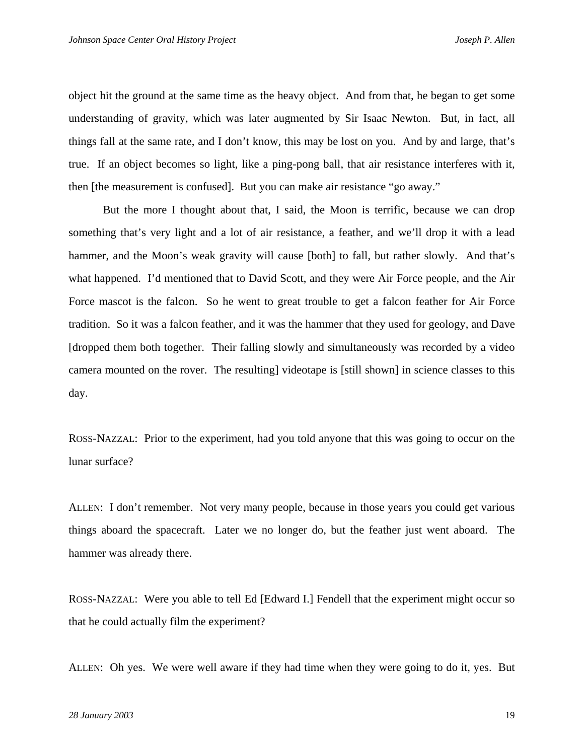object hit the ground at the same time as the heavy object. And from that, he began to get some understanding of gravity, which was later augmented by Sir Isaac Newton. But, in fact, all things fall at the same rate, and I don't know, this may be lost on you. And by and large, that's true. If an object becomes so light, like a ping-pong ball, that air resistance interferes with it, then [the measurement is confused]. But you can make air resistance "go away."

 But the more I thought about that, I said, the Moon is terrific, because we can drop something that's very light and a lot of air resistance, a feather, and we'll drop it with a lead hammer, and the Moon's weak gravity will cause [both] to fall, but rather slowly. And that's what happened. I'd mentioned that to David Scott, and they were Air Force people, and the Air Force mascot is the falcon. So he went to great trouble to get a falcon feather for Air Force tradition. So it was a falcon feather, and it was the hammer that they used for geology, and Dave [dropped them both together. Their falling slowly and simultaneously was recorded by a video camera mounted on the rover. The resulting] videotape is [still shown] in science classes to this day.

ROSS-NAZZAL: Prior to the experiment, had you told anyone that this was going to occur on the lunar surface?

ALLEN: I don't remember. Not very many people, because in those years you could get various things aboard the spacecraft. Later we no longer do, but the feather just went aboard. The hammer was already there.

ROSS-NAZZAL: Were you able to tell Ed [Edward I.] Fendell that the experiment might occur so that he could actually film the experiment?

ALLEN: Oh yes. We were well aware if they had time when they were going to do it, yes. But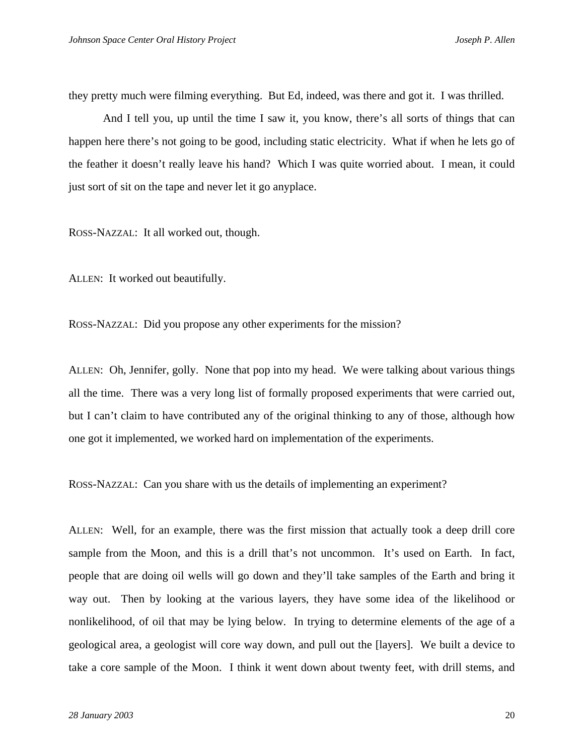they pretty much were filming everything. But Ed, indeed, was there and got it. I was thrilled.

 And I tell you, up until the time I saw it, you know, there's all sorts of things that can happen here there's not going to be good, including static electricity. What if when he lets go of the feather it doesn't really leave his hand? Which I was quite worried about. I mean, it could just sort of sit on the tape and never let it go anyplace.

ROSS-NAZZAL: It all worked out, though.

ALLEN: It worked out beautifully.

ROSS-NAZZAL: Did you propose any other experiments for the mission?

ALLEN: Oh, Jennifer, golly. None that pop into my head. We were talking about various things all the time. There was a very long list of formally proposed experiments that were carried out, but I can't claim to have contributed any of the original thinking to any of those, although how one got it implemented, we worked hard on implementation of the experiments.

ROSS-NAZZAL: Can you share with us the details of implementing an experiment?

ALLEN: Well, for an example, there was the first mission that actually took a deep drill core sample from the Moon, and this is a drill that's not uncommon. It's used on Earth. In fact, people that are doing oil wells will go down and they'll take samples of the Earth and bring it way out. Then by looking at the various layers, they have some idea of the likelihood or nonlikelihood, of oil that may be lying below. In trying to determine elements of the age of a geological area, a geologist will core way down, and pull out the [layers]. We built a device to take a core sample of the Moon. I think it went down about twenty feet, with drill stems, and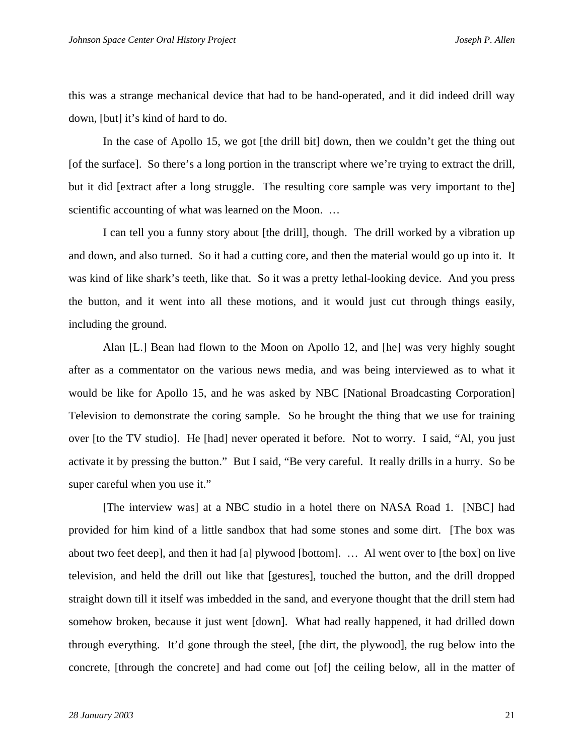this was a strange mechanical device that had to be hand-operated, and it did indeed drill way down, [but] it's kind of hard to do.

In the case of Apollo 15, we got [the drill bit] down, then we couldn't get the thing out [of the surface]. So there's a long portion in the transcript where we're trying to extract the drill, but it did [extract after a long struggle. The resulting core sample was very important to the] scientific accounting of what was learned on the Moon. ...

 I can tell you a funny story about [the drill], though. The drill worked by a vibration up and down, and also turned. So it had a cutting core, and then the material would go up into it. It was kind of like shark's teeth, like that. So it was a pretty lethal-looking device. And you press the button, and it went into all these motions, and it would just cut through things easily, including the ground.

 Alan [L.] Bean had flown to the Moon on Apollo 12, and [he] was very highly sought after as a commentator on the various news media, and was being interviewed as to what it would be like for Apollo 15, and he was asked by NBC [National Broadcasting Corporation] Television to demonstrate the coring sample. So he brought the thing that we use for training over [to the TV studio]. He [had] never operated it before. Not to worry. I said, "Al, you just activate it by pressing the button." But I said, "Be very careful. It really drills in a hurry. So be super careful when you use it."

 [The interview was] at a NBC studio in a hotel there on NASA Road 1. [NBC] had provided for him kind of a little sandbox that had some stones and some dirt. [The box was about two feet deep], and then it had [a] plywood [bottom]. … Al went over to [the box] on live television, and held the drill out like that [gestures], touched the button, and the drill dropped straight down till it itself was imbedded in the sand, and everyone thought that the drill stem had somehow broken, because it just went [down]. What had really happened, it had drilled down through everything. It'd gone through the steel, [the dirt, the plywood], the rug below into the concrete, [through the concrete] and had come out [of] the ceiling below, all in the matter of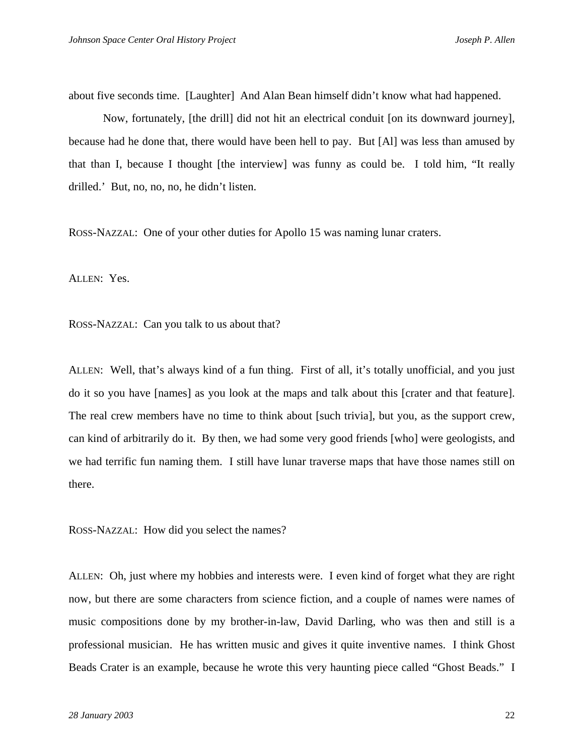about five seconds time. [Laughter] And Alan Bean himself didn't know what had happened.

 Now, fortunately, [the drill] did not hit an electrical conduit [on its downward journey], because had he done that, there would have been hell to pay. But [Al] was less than amused by that than I, because I thought [the interview] was funny as could be. I told him, "It really drilled.' But, no, no, no, he didn't listen.

ROSS-NAZZAL: One of your other duties for Apollo 15 was naming lunar craters.

ALLEN: Yes.

ROSS-NAZZAL: Can you talk to us about that?

ALLEN: Well, that's always kind of a fun thing. First of all, it's totally unofficial, and you just do it so you have [names] as you look at the maps and talk about this [crater and that feature]. The real crew members have no time to think about [such trivia], but you, as the support crew, can kind of arbitrarily do it. By then, we had some very good friends [who] were geologists, and we had terrific fun naming them. I still have lunar traverse maps that have those names still on there.

ROSS-NAZZAL: How did you select the names?

ALLEN: Oh, just where my hobbies and interests were. I even kind of forget what they are right now, but there are some characters from science fiction, and a couple of names were names of music compositions done by my brother-in-law, David Darling, who was then and still is a professional musician. He has written music and gives it quite inventive names. I think Ghost Beads Crater is an example, because he wrote this very haunting piece called "Ghost Beads." I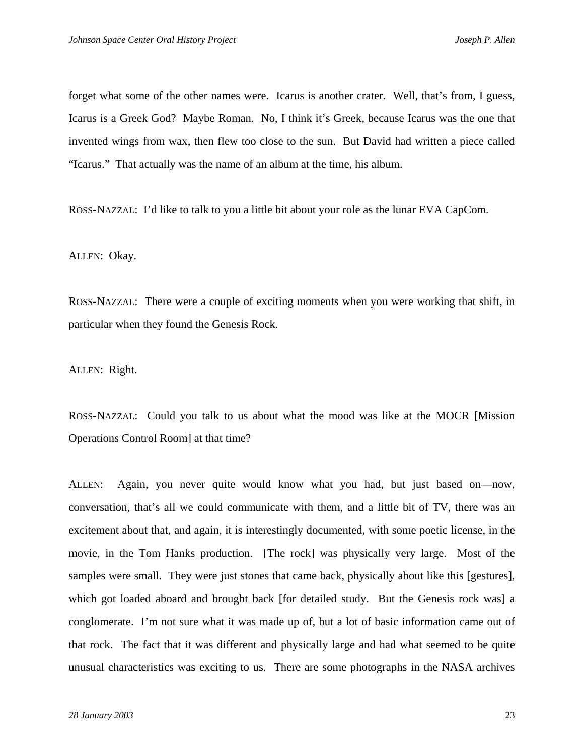forget what some of the other names were. Icarus is another crater. Well, that's from, I guess, Icarus is a Greek God? Maybe Roman. No, I think it's Greek, because Icarus was the one that invented wings from wax, then flew too close to the sun. But David had written a piece called "Icarus." That actually was the name of an album at the time, his album.

ROSS-NAZZAL: I'd like to talk to you a little bit about your role as the lunar EVA CapCom.

ALLEN: Okay.

ROSS-NAZZAL: There were a couple of exciting moments when you were working that shift, in particular when they found the Genesis Rock.

ALLEN: Right.

ROSS-NAZZAL: Could you talk to us about what the mood was like at the MOCR [Mission Operations Control Room] at that time?

ALLEN: Again, you never quite would know what you had, but just based on—now, conversation, that's all we could communicate with them, and a little bit of TV, there was an excitement about that, and again, it is interestingly documented, with some poetic license, in the movie, in the Tom Hanks production. [The rock] was physically very large. Most of the samples were small. They were just stones that came back, physically about like this [gestures], which got loaded aboard and brought back [for detailed study. But the Genesis rock was] a conglomerate. I'm not sure what it was made up of, but a lot of basic information came out of that rock. The fact that it was different and physically large and had what seemed to be quite unusual characteristics was exciting to us. There are some photographs in the NASA archives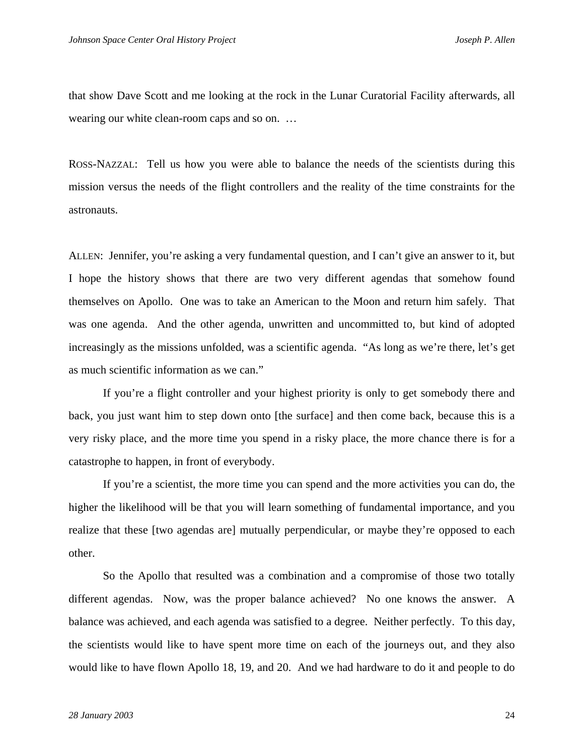that show Dave Scott and me looking at the rock in the Lunar Curatorial Facility afterwards, all wearing our white clean-room caps and so on. ...

ROSS-NAZZAL: Tell us how you were able to balance the needs of the scientists during this mission versus the needs of the flight controllers and the reality of the time constraints for the astronauts.

ALLEN: Jennifer, you're asking a very fundamental question, and I can't give an answer to it, but I hope the history shows that there are two very different agendas that somehow found themselves on Apollo. One was to take an American to the Moon and return him safely. That was one agenda. And the other agenda, unwritten and uncommitted to, but kind of adopted increasingly as the missions unfolded, was a scientific agenda. "As long as we're there, let's get as much scientific information as we can."

 If you're a flight controller and your highest priority is only to get somebody there and back, you just want him to step down onto [the surface] and then come back, because this is a very risky place, and the more time you spend in a risky place, the more chance there is for a catastrophe to happen, in front of everybody.

 If you're a scientist, the more time you can spend and the more activities you can do, the higher the likelihood will be that you will learn something of fundamental importance, and you realize that these [two agendas are] mutually perpendicular, or maybe they're opposed to each other.

 So the Apollo that resulted was a combination and a compromise of those two totally different agendas. Now, was the proper balance achieved? No one knows the answer. A balance was achieved, and each agenda was satisfied to a degree. Neither perfectly. To this day, the scientists would like to have spent more time on each of the journeys out, and they also would like to have flown Apollo 18, 19, and 20. And we had hardware to do it and people to do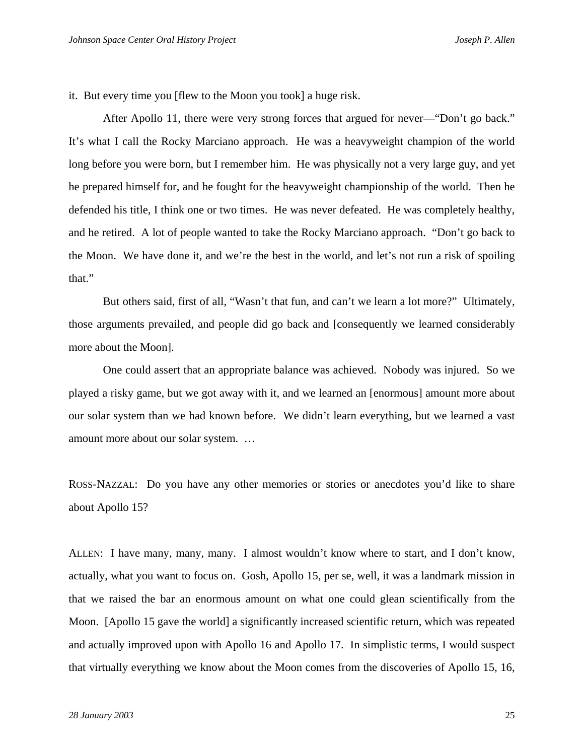it. But every time you [flew to the Moon you took] a huge risk.

 After Apollo 11, there were very strong forces that argued for never—"Don't go back." It's what I call the Rocky Marciano approach. He was a heavyweight champion of the world long before you were born, but I remember him. He was physically not a very large guy, and yet he prepared himself for, and he fought for the heavyweight championship of the world. Then he defended his title, I think one or two times. He was never defeated. He was completely healthy, and he retired. A lot of people wanted to take the Rocky Marciano approach. "Don't go back to the Moon. We have done it, and we're the best in the world, and let's not run a risk of spoiling that."

 But others said, first of all, "Wasn't that fun, and can't we learn a lot more?" Ultimately, those arguments prevailed, and people did go back and [consequently we learned considerably more about the Moon].

 One could assert that an appropriate balance was achieved. Nobody was injured. So we played a risky game, but we got away with it, and we learned an [enormous] amount more about our solar system than we had known before. We didn't learn everything, but we learned a vast amount more about our solar system. …

ROSS-NAZZAL: Do you have any other memories or stories or anecdotes you'd like to share about Apollo 15?

ALLEN: I have many, many, many. I almost wouldn't know where to start, and I don't know, actually, what you want to focus on. Gosh, Apollo 15, per se, well, it was a landmark mission in that we raised the bar an enormous amount on what one could glean scientifically from the Moon. [Apollo 15 gave the world] a significantly increased scientific return, which was repeated and actually improved upon with Apollo 16 and Apollo 17. In simplistic terms, I would suspect that virtually everything we know about the Moon comes from the discoveries of Apollo 15, 16,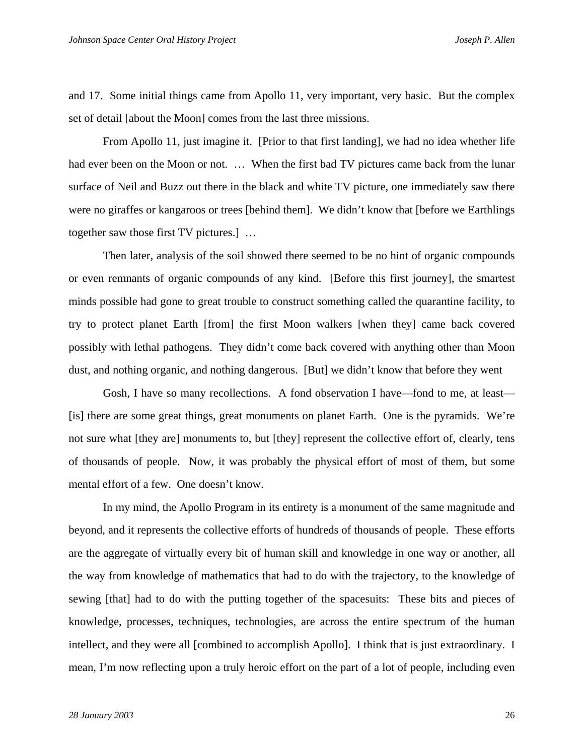and 17. Some initial things came from Apollo 11, very important, very basic. But the complex set of detail [about the Moon] comes from the last three missions.

 From Apollo 11, just imagine it. [Prior to that first landing], we had no idea whether life had ever been on the Moon or not. ... When the first bad TV pictures came back from the lunar surface of Neil and Buzz out there in the black and white TV picture, one immediately saw there were no giraffes or kangaroos or trees [behind them]. We didn't know that [before we Earthlings together saw those first TV pictures.] …

 Then later, analysis of the soil showed there seemed to be no hint of organic compounds or even remnants of organic compounds of any kind. [Before this first journey], the smartest minds possible had gone to great trouble to construct something called the quarantine facility, to try to protect planet Earth [from] the first Moon walkers [when they] came back covered possibly with lethal pathogens. They didn't come back covered with anything other than Moon dust, and nothing organic, and nothing dangerous. [But] we didn't know that before they went

 Gosh, I have so many recollections. A fond observation I have—fond to me, at least— [is] there are some great things, great monuments on planet Earth. One is the pyramids. We're not sure what [they are] monuments to, but [they] represent the collective effort of, clearly, tens of thousands of people. Now, it was probably the physical effort of most of them, but some mental effort of a few. One doesn't know.

 In my mind, the Apollo Program in its entirety is a monument of the same magnitude and beyond, and it represents the collective efforts of hundreds of thousands of people. These efforts are the aggregate of virtually every bit of human skill and knowledge in one way or another, all the way from knowledge of mathematics that had to do with the trajectory, to the knowledge of sewing [that] had to do with the putting together of the spacesuits: These bits and pieces of knowledge, processes, techniques, technologies, are across the entire spectrum of the human intellect, and they were all [combined to accomplish Apollo]. I think that is just extraordinary. I mean, I'm now reflecting upon a truly heroic effort on the part of a lot of people, including even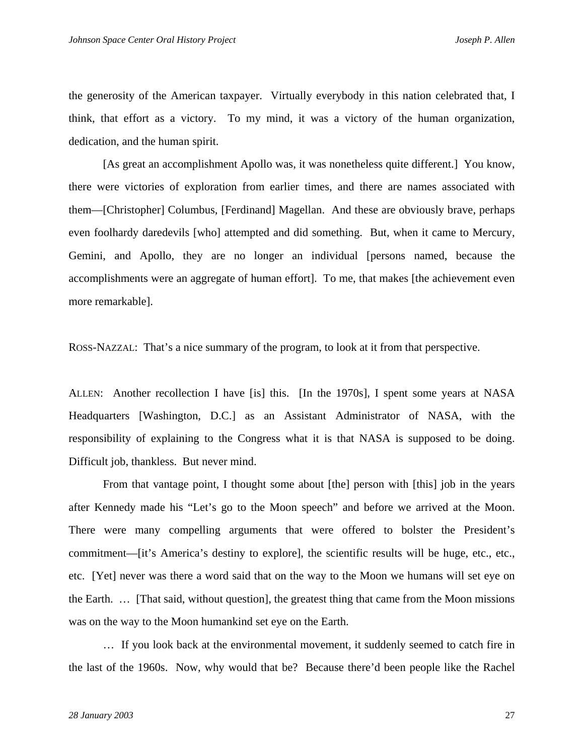the generosity of the American taxpayer. Virtually everybody in this nation celebrated that, I think, that effort as a victory. To my mind, it was a victory of the human organization, dedication, and the human spirit.

 [As great an accomplishment Apollo was, it was nonetheless quite different.] You know, there were victories of exploration from earlier times, and there are names associated with them—[Christopher] Columbus, [Ferdinand] Magellan. And these are obviously brave, perhaps even foolhardy daredevils [who] attempted and did something. But, when it came to Mercury, Gemini, and Apollo, they are no longer an individual [persons named, because the accomplishments were an aggregate of human effort]. To me, that makes [the achievement even more remarkable].

ROSS-NAZZAL: That's a nice summary of the program, to look at it from that perspective.

ALLEN: Another recollection I have [is] this. [In the 1970s], I spent some years at NASA Headquarters [Washington, D.C.] as an Assistant Administrator of NASA, with the responsibility of explaining to the Congress what it is that NASA is supposed to be doing. Difficult job, thankless. But never mind.

 From that vantage point, I thought some about [the] person with [this] job in the years after Kennedy made his "Let's go to the Moon speech" and before we arrived at the Moon. There were many compelling arguments that were offered to bolster the President's commitment—[it's America's destiny to explore], the scientific results will be huge, etc., etc., etc. [Yet] never was there a word said that on the way to the Moon we humans will set eye on the Earth. … [That said, without question], the greatest thing that came from the Moon missions was on the way to the Moon humankind set eye on the Earth.

 … If you look back at the environmental movement, it suddenly seemed to catch fire in the last of the 1960s. Now, why would that be? Because there'd been people like the Rachel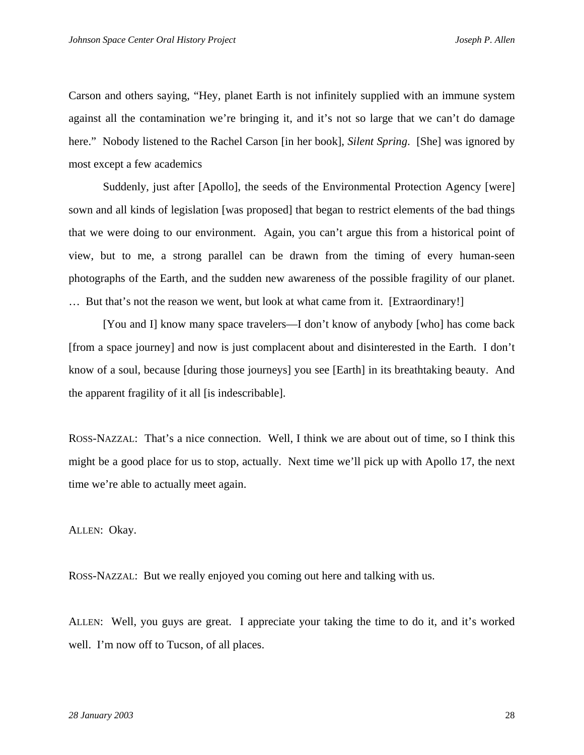Carson and others saying, "Hey, planet Earth is not infinitely supplied with an immune system against all the contamination we're bringing it, and it's not so large that we can't do damage here." Nobody listened to the Rachel Carson [in her book], *Silent Spring*. [She] was ignored by most except a few academics

 Suddenly, just after [Apollo], the seeds of the Environmental Protection Agency [were] sown and all kinds of legislation [was proposed] that began to restrict elements of the bad things that we were doing to our environment. Again, you can't argue this from a historical point of view, but to me, a strong parallel can be drawn from the timing of every human-seen photographs of the Earth, and the sudden new awareness of the possible fragility of our planet. … But that's not the reason we went, but look at what came from it. [Extraordinary!]

 [You and I] know many space travelers—I don't know of anybody [who] has come back [from a space journey] and now is just complacent about and disinterested in the Earth. I don't know of a soul, because [during those journeys] you see [Earth] in its breathtaking beauty. And the apparent fragility of it all [is indescribable].

ROSS-NAZZAL: That's a nice connection. Well, I think we are about out of time, so I think this might be a good place for us to stop, actually. Next time we'll pick up with Apollo 17, the next time we're able to actually meet again.

ALLEN: Okay.

ROSS-NAZZAL: But we really enjoyed you coming out here and talking with us.

ALLEN: Well, you guys are great. I appreciate your taking the time to do it, and it's worked well. I'm now off to Tucson, of all places.